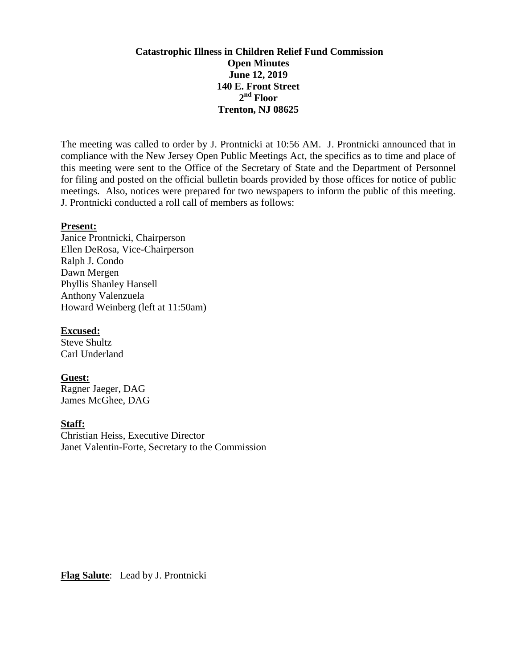# **Catastrophic Illness in Children Relief Fund Commission Open Minutes June 12, 2019 140 E. Front Street 2 nd Floor Trenton, NJ 08625**

The meeting was called to order by J. Prontnicki at 10:56 AM. J. Prontnicki announced that in compliance with the New Jersey Open Public Meetings Act, the specifics as to time and place of this meeting were sent to the Office of the Secretary of State and the Department of Personnel for filing and posted on the official bulletin boards provided by those offices for notice of public meetings. Also, notices were prepared for two newspapers to inform the public of this meeting. J. Prontnicki conducted a roll call of members as follows:

#### **Present:**

Janice Prontnicki, Chairperson Ellen DeRosa, Vice-Chairperson Ralph J. Condo Dawn Mergen Phyllis Shanley Hansell Anthony Valenzuela Howard Weinberg (left at 11:50am)

#### **Excused:**

Steve Shultz Carl Underland

## **Guest:**

Ragner Jaeger, DAG James McGhee, DAG

## **Staff:**

Christian Heiss, Executive Director Janet Valentin-Forte, Secretary to the Commission

**Flag Salute**: Lead by J. Prontnicki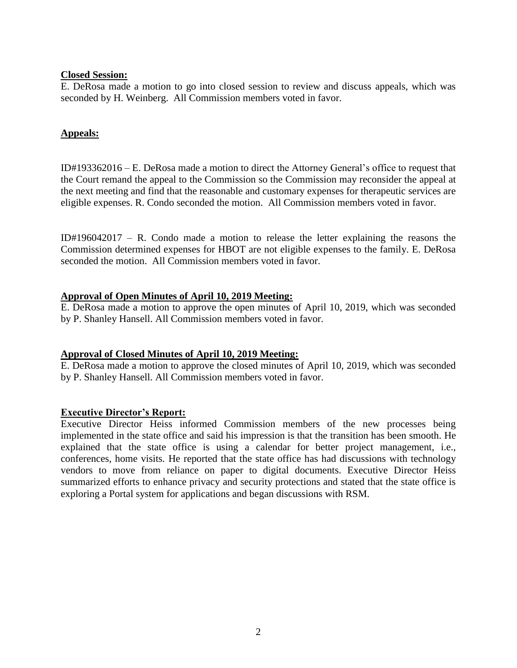#### **Closed Session:**

E. DeRosa made a motion to go into closed session to review and discuss appeals, which was seconded by H. Weinberg. All Commission members voted in favor.

# **Appeals:**

ID#193362016 – E. DeRosa made a motion to direct the Attorney General's office to request that the Court remand the appeal to the Commission so the Commission may reconsider the appeal at the next meeting and find that the reasonable and customary expenses for therapeutic services are eligible expenses. R. Condo seconded the motion. All Commission members voted in favor.

ID#196042017 – R. Condo made a motion to release the letter explaining the reasons the Commission determined expenses for HBOT are not eligible expenses to the family. E. DeRosa seconded the motion. All Commission members voted in favor.

## **Approval of Open Minutes of April 10, 2019 Meeting:**

E. DeRosa made a motion to approve the open minutes of April 10, 2019, which was seconded by P. Shanley Hansell. All Commission members voted in favor.

## **Approval of Closed Minutes of April 10, 2019 Meeting:**

E. DeRosa made a motion to approve the closed minutes of April 10, 2019, which was seconded by P. Shanley Hansell. All Commission members voted in favor.

## **Executive Director's Report:**

Executive Director Heiss informed Commission members of the new processes being implemented in the state office and said his impression is that the transition has been smooth. He explained that the state office is using a calendar for better project management, i.e., conferences, home visits. He reported that the state office has had discussions with technology vendors to move from reliance on paper to digital documents. Executive Director Heiss summarized efforts to enhance privacy and security protections and stated that the state office is exploring a Portal system for applications and began discussions with RSM.